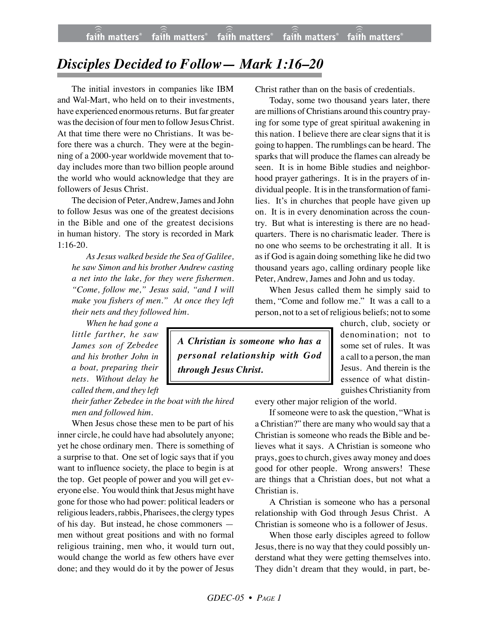## *Disciples Decided to Follow— Mark 1:16–20*

The initial investors in companies like IBM and Wal-Mart, who held on to their investments, have experienced enormous returns. But far greater was the decision of four men to follow Jesus Christ. At that time there were no Christians. It was before there was a church. They were at the beginning of a 2000-year worldwide movement that today includes more than two billion people around the world who would acknowledge that they are followers of Jesus Christ.

The decision of Peter, Andrew, James and John to follow Jesus was one of the greatest decisions in the Bible and one of the greatest decisions in human history. The story is recorded in Mark 1:16-20.

*As Jesus walked beside the Sea of Galilee, he saw Simon and his brother Andrew casting a net into the lake, for they were fishermen. "Come, follow me," Jesus said, "and I will make you fishers of men." At once they left their nets and they followed him.*

*When he had gone a little farther, he saw James son of Zebedee and his brother John in a boat, preparing their nets. Without delay he called them, and they left*

*their father Zebedee in the boat with the hired men and followed him.*

When Jesus chose these men to be part of his inner circle, he could have had absolutely anyone; yet he chose ordinary men. There is something of a surprise to that. One set of logic says that if you want to influence society, the place to begin is at the top. Get people of power and you will get everyone else. You would think that Jesus might have gone for those who had power: political leaders or religious leaders, rabbis, Pharisees, the clergy types of his day. But instead, he chose commoners men without great positions and with no formal religious training, men who, it would turn out, would change the world as few others have ever done; and they would do it by the power of Jesus

Christ rather than on the basis of credentials.

Today, some two thousand years later, there are millions of Christians around this country praying for some type of great spiritual awakening in this nation. I believe there are clear signs that it is going to happen. The rumblings can be heard. The sparks that will produce the flames can already be seen. It is in home Bible studies and neighborhood prayer gatherings. It is in the prayers of individual people. It is in the transformation of families. It's in churches that people have given up on. It is in every denomination across the country. But what is interesting is there are no headquarters. There is no charismatic leader. There is no one who seems to be orchestrating it all. It is as if God is again doing something like he did two thousand years ago, calling ordinary people like Peter, Andrew, James and John and us today.

When Jesus called them he simply said to them, "Come and follow me." It was a call to a person, not to a set of religious beliefs; not to some

*A Christian is someone who has a personal relationship with God through Jesus Christ.*

church, club, society or denomination; not to some set of rules. It was a call to a person, the man Jesus. And therein is the essence of what distinguishes Christianity from

every other major religion of the world.

If someone were to ask the question, "What is a Christian?" there are many who would say that a Christian is someone who reads the Bible and believes what it says. A Christian is someone who prays, goes to church, gives away money and does good for other people. Wrong answers! These are things that a Christian does, but not what a Christian is.

A Christian is someone who has a personal relationship with God through Jesus Christ. A Christian is someone who is a follower of Jesus.

When those early disciples agreed to follow Jesus, there is no way that they could possibly understand what they were getting themselves into. They didn't dream that they would, in part, be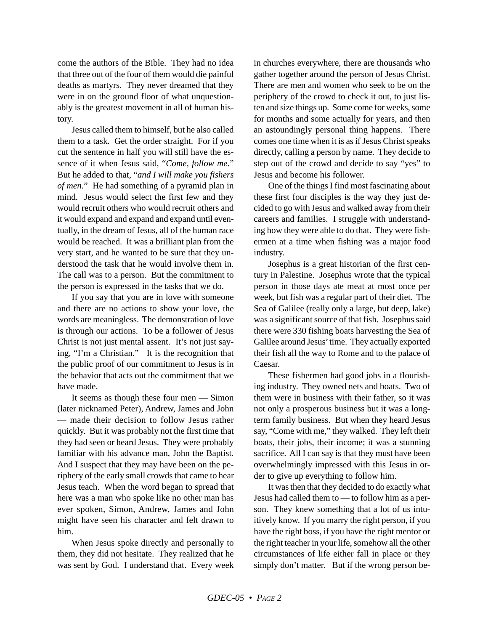come the authors of the Bible. They had no idea that three out of the four of them would die painful deaths as martyrs. They never dreamed that they were in on the ground floor of what unquestionably is the greatest movement in all of human history.

Jesus called them to himself, but he also called them to a task. Get the order straight. For if you cut the sentence in half you will still have the essence of it when Jesus said, "*Come, follow me.*" But he added to that, "*and I will make you fishers of men.*" He had something of a pyramid plan in mind. Jesus would select the first few and they would recruit others who would recruit others and it would expand and expand and expand until eventually, in the dream of Jesus, all of the human race would be reached. It was a brilliant plan from the very start, and he wanted to be sure that they understood the task that he would involve them in. The call was to a person. But the commitment to the person is expressed in the tasks that we do.

If you say that you are in love with someone and there are no actions to show your love, the words are meaningless. The demonstration of love is through our actions. To be a follower of Jesus Christ is not just mental assent. It's not just saying, "I'm a Christian." It is the recognition that the public proof of our commitment to Jesus is in the behavior that acts out the commitment that we have made.

It seems as though these four men — Simon (later nicknamed Peter), Andrew, James and John — made their decision to follow Jesus rather quickly. But it was probably not the first time that they had seen or heard Jesus. They were probably familiar with his advance man, John the Baptist. And I suspect that they may have been on the periphery of the early small crowds that came to hear Jesus teach. When the word began to spread that here was a man who spoke like no other man has ever spoken, Simon, Andrew, James and John might have seen his character and felt drawn to him.

When Jesus spoke directly and personally to them, they did not hesitate. They realized that he was sent by God. I understand that. Every week in churches everywhere, there are thousands who gather together around the person of Jesus Christ. There are men and women who seek to be on the periphery of the crowd to check it out, to just listen and size things up. Some come for weeks, some for months and some actually for years, and then an astoundingly personal thing happens. There comes one time when it is as if Jesus Christ speaks directly, calling a person by name. They decide to step out of the crowd and decide to say "yes" to Jesus and become his follower.

One of the things I find most fascinating about these first four disciples is the way they just decided to go with Jesus and walked away from their careers and families. I struggle with understanding how they were able to do that. They were fishermen at a time when fishing was a major food industry.

Josephus is a great historian of the first century in Palestine. Josephus wrote that the typical person in those days ate meat at most once per week, but fish was a regular part of their diet. The Sea of Galilee (really only a large, but deep, lake) was a significant source of that fish. Josephus said there were 330 fishing boats harvesting the Sea of Galilee around Jesus' time. They actually exported their fish all the way to Rome and to the palace of Caesar.

These fishermen had good jobs in a flourishing industry. They owned nets and boats. Two of them were in business with their father, so it was not only a prosperous business but it was a longterm family business. But when they heard Jesus say, "Come with me," they walked. They left their boats, their jobs, their income; it was a stunning sacrifice. All I can say is that they must have been overwhelmingly impressed with this Jesus in order to give up everything to follow him.

It was then that they decided to do exactly what Jesus had called them to — to follow him as a person. They knew something that a lot of us intuitively know. If you marry the right person, if you have the right boss, if you have the right mentor or the right teacher in your life, somehow all the other circumstances of life either fall in place or they simply don't matter. But if the wrong person be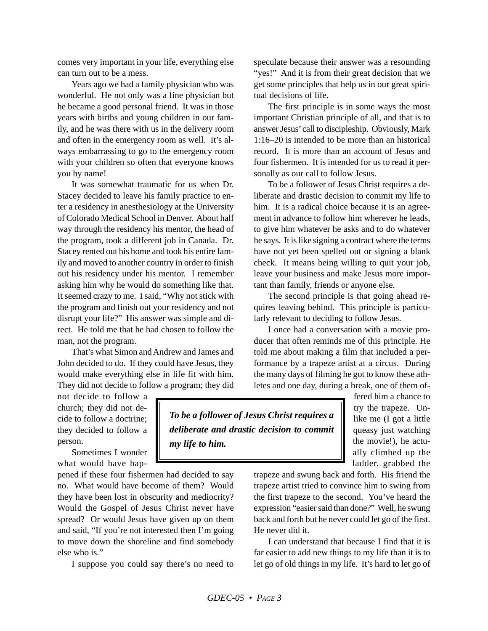comes very important in your life, everything else can turn out to be a mess.

Years ago we had a family physician who was wonderful. He not only was a fine physician but he became a good personal friend. It was in those years with births and young children in our family, and he was there with us in the delivery room and often in the emergency room as well. It's always embarrassing to go to the emergency room with your children so often that everyone knows you by name!

It was somewhat traumatic for us when Dr. Stacey decided to leave his family practice to enter a residency in anesthesiology at the University of Colorado Medical School in Denver. About half way through the residency his mentor, the head of the program, took a different job in Canada. Dr. Stacey rented out his home and took his entire family and moved to another country in order to finish out his residency under his mentor. I remember asking him why he would do something like that. It seemed crazy to me. I said, "Why not stick with the program and finish out your residency and not disrupt your life?" His answer was simple and direct. He told me that he had chosen to follow the man, not the program.

That's what Simon and Andrew and James and John decided to do. If they could have Jesus, they would make everything else in life fit with him. They did not decide to follow a program; they did speculate because their answer was a resounding "yes!" And it is from their great decision that we get some principles that help us in our great spiritual decisions of life.

The first principle is in some ways the most important Christian principle of all, and that is to answer Jesus' call to discipleship. Obviously, Mark 1:16–20 is intended to be more than an historical record. It is more than an account of Jesus and four fishermen. It is intended for us to read it personally as our call to follow Jesus.

To be a follower of Jesus Christ requires a deliberate and drastic decision to commit my life to him. It is a radical choice because it is an agreement in advance to follow him wherever he leads, to give him whatever he asks and to do whatever he says. It is like signing a contract where the terms have not yet been spelled out or signing a blank check. It means being willing to quit your job, leave your business and make Jesus more important than family, friends or anyone else.

The second principle is that going ahead requires leaving behind. This principle is particularly relevant to deciding to follow Jesus.

I once had a conversation with a movie producer that often reminds me of this principle. He told me about making a film that included a performance by a trapeze artist at a circus. During the many days of filming he got to know these athletes and one day, during a break, one of them of-

not decide to follow a church; they did not decide to follow a doctrine; they decided to follow a person.

Sometimes I wonder what would have hap-

pened if these four fishermen had decided to say no. What would have become of them? Would they have been lost in obscurity and mediocrity? Would the Gospel of Jesus Christ never have spread? Or would Jesus have given up on them and said, "If you're not interested then I'm going to move down the shoreline and find somebody else who is."

I suppose you could say there's no need to

*To be a follower of Jesus Christ requires a deliberate and drastic decision to commit my life to him.*

fered him a chance to try the trapeze. Unlike me (I got a little queasy just watching the movie!), he actually climbed up the ladder, grabbed the

trapeze and swung back and forth. His friend the trapeze artist tried to convince him to swing from the first trapeze to the second. You've heard the expression "easier said than done?" Well, he swung back and forth but he never could let go of the first. He never did it.

I can understand that because I find that it is far easier to add new things to my life than it is to let go of old things in my life. It's hard to let go of